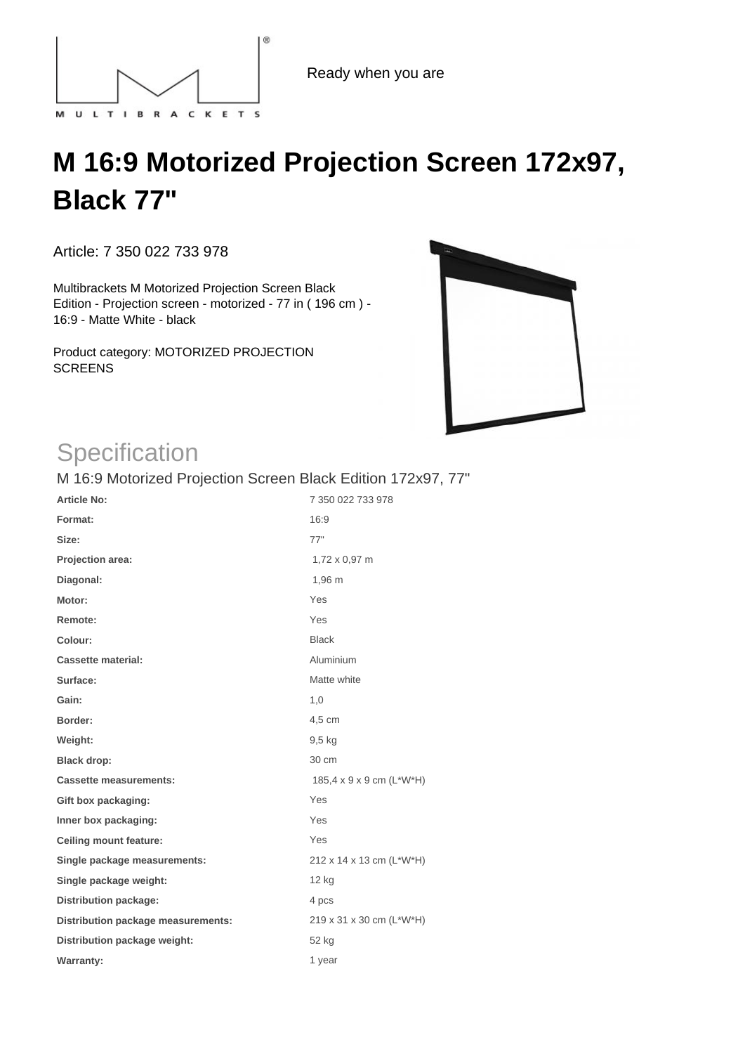

Ready when you are

## **M 16:9 Motorized Projection Screen 172x97, Black 77"**

Article: 7 350 022 733 978

Multibrackets M Motorized Projection Screen Black Edition - Projection screen - motorized - 77 in ( 196 cm ) - 16:9 - Matte White - black

Product category: MOTORIZED PROJECTION **SCREENS** 



## **Specification**

M 16:9 Motorized Projection Screen Black Edition 172x97, 77"

| <b>Article No:</b>                 | 7 350 022 733 978        |
|------------------------------------|--------------------------|
| Format:                            | 16:9                     |
| Size:                              | 77"                      |
| Projection area:                   | 1,72 x 0,97 m            |
| Diagonal:                          | 1,96 m                   |
| Motor:                             | Yes                      |
| Remote:                            | Yes                      |
| Colour:                            | <b>Black</b>             |
| <b>Cassette material:</b>          | Aluminium                |
| Surface:                           | Matte white              |
| Gain:                              | 1,0                      |
| Border:                            | 4,5 cm                   |
| Weight:                            | $9,5$ kg                 |
| <b>Black drop:</b>                 | 30 cm                    |
| <b>Cassette measurements:</b>      | 185,4 x 9 x 9 cm (L*W*H) |
| Gift box packaging:                | Yes                      |
| Inner box packaging:               | Yes                      |
| <b>Ceiling mount feature:</b>      | Yes                      |
| Single package measurements:       | 212 x 14 x 13 cm (L*W*H) |
| Single package weight:             | 12 kg                    |
| <b>Distribution package:</b>       | 4 pcs                    |
| Distribution package measurements: | 219 x 31 x 30 cm (L*W*H) |
| Distribution package weight:       | 52 kg                    |
| <b>Warranty:</b>                   | 1 year                   |